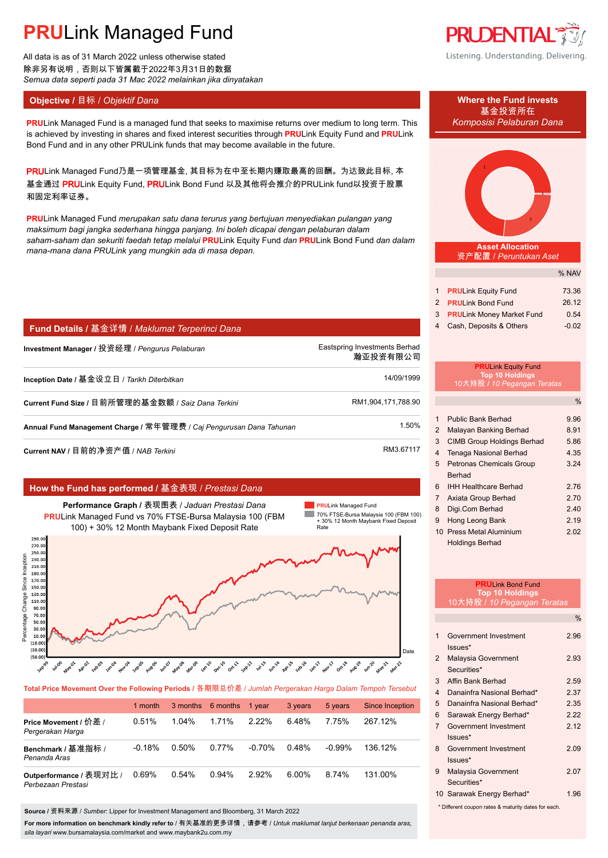All data is as of 31 March 2022 unless otherwise stated 除非另有说明,否则以下皆属截于2022年3月31日的数据 *Semua data seperti pada 31 Mac 2022 melainkan jika dinyatakan*

**PRULink Managed Fund is a managed fund that seeks to maximise returns over medium to long term. This** *Komposisi Pelaburan Dana* is achieved by investing in shares and fixed interest securities through **PRU**Link Equity Fund and **PRU**Link Bond Fund and in any other PRULink funds that may become available in the future.

PRULink Managed Fund乃是一项管理基金, 其目标为在中至长期内赚取最高的回酬。为达致此目标, 本 基金通过 PRULink Equity Fund, PRULink Bond Fund 以及其他将会推介的PRULink fund以投资于股票 和固定利率证券。

**PRU**Link Managed Fund *merupakan satu dana terurus yang bertujuan menyediakan pulangan yang maksimum bagi jangka sederhana hingga panjang. Ini boleh dicapai dengan pelaburan dalam saham-saham dan sekuriti faedah tetap melalui* **PRU**Link Equity Fund *dan* **PRU**Link Bond Fund *dan dalam mana-mana dana PRULink yang mungkin ada di masa depan.*

## **Fund Details /** 基金详情 / *Maklumat Terperinci Dana*

**Investment Manager /** 投资经理 / *Pengurus Pelaburan* Eastspring Investments Berhad. 瀚亚投资有限公司. **Inception Date /** 基金设立日 / *Tarikh Diterbitkan* 14/09/1999. **Current Fund Size /** 目前所管理的基金数额 / *Saiz Dana Terkini* RM1,904,171,788.90. **Annual Fund Management Charge /** 常年管理费 / *Caj Pengurusan Dana Tahunan* 1.50%. **Current NAV /** 目前的净资产值 / *NAB Terkini* RM3.67117.

### **How the Fund has performed /** 基金表现 / *Prestasi Dana*



**Total Price Movement Over the Following Periods /** 各期限总价差 / *Jumlah Pergerakan Harga Dalam Tempoh Tersebut*

|                                               | 1 month  | 3 months 6 months |       | 1 year    | 3 years | 5 years   | <b>Since Inception</b> |
|-----------------------------------------------|----------|-------------------|-------|-----------|---------|-----------|------------------------|
| Price Movement / 价差 /<br>Pergerakan Harga     | 0.51%    | 1.04%             | 1.71% | $2.22\%$  | 6.48%   | 7.75%     | 267 12%                |
| Benchmark / 基准指标 /<br>Penanda Aras            | $-0.18%$ | 0.50%             | 0.77% | $-0.70\%$ | 0.48%   | $-0.99\%$ | 136.12%                |
| Outperformance / 表现对比 /<br>Perbezaan Prestasi | 0.69%    | 0.54%             | 0.94% | $2.92\%$  | 6.00%   | 8.74%     | 131.00%                |

**Source /** 资料来源 / *Sumber*: Lipper for Investment Management and Bloomberg, 31 March 2022

**For more information on benchmark kindly refer to** / 有关基准的更多详情,请参考 / *Untuk maklumat lanjut berkenaan penanda aras, sila layari* www.bursamalaysia.com/market and www.maybank2u.com.my



Listening. Understanding. Delivering.



**Asset Allocation** 资产配置 / *Peruntukan Aset*

|                              | % NAV   |
|------------------------------|---------|
|                              |         |
| 1 <b>PRULink Equity Fund</b> | 73.36   |
| 2 PRULink Bond Fund          | 26.12   |
| 3 PRULink Money Market Fund  | 0.54    |
| 4 Cash, Deposits & Others    | $-0.02$ |

### **PRU**Link Equity Fund **Top 10 Holdings** 10大持股 **/** *10 Pegangan Teratas*

|                |                                   | $\%$ |
|----------------|-----------------------------------|------|
|                |                                   |      |
| 1              | Public Bank Berhad                | 9.96 |
| 2              | Malayan Banking Berhad            | 8.91 |
| 3              | <b>CIMB Group Holdings Berhad</b> | 5.86 |
| 4              | <b>Tenaga Nasional Berhad</b>     | 4.35 |
| 5              | Petronas Chemicals Group          | 3.24 |
|                | Berhad                            |      |
| 6              | <b>IHH Healthcare Berhad</b>      | 2.76 |
| $\overline{7}$ | Axiata Group Berhad               | 2.70 |
| 8              | Digi.Com Berhad                   | 2.40 |
| 9              | Hong Leong Bank                   | 2.19 |
|                | 10 Press Metal Aluminium          | 2.02 |
|                | <b>Holdings Berhad</b>            |      |

| <b>PRULink Bond Fund</b><br><b>Top 10 Holdings</b>  |                                    |               |  |
|-----------------------------------------------------|------------------------------------|---------------|--|
| 10大持股 / 10 Pegangan Teratas                         |                                    |               |  |
|                                                     |                                    | $\frac{0}{0}$ |  |
| 1                                                   | Government Investment<br>$lssues*$ | 2.96          |  |
| $\overline{2}$                                      | Malaysia Government<br>Securities* | 2.93          |  |
| 3                                                   | Affin Bank Berhad                  | 2.59          |  |
| $\overline{\mathbf{4}}$                             | Danainfra Nasional Berhad*         | 2 37          |  |
| 5                                                   | Danainfra Nasional Berhad*         | 2.35          |  |
| 6                                                   | Sarawak Energy Berhad*             | 2.22          |  |
| $\overline{7}$                                      | Government Investment<br>$lssues*$ | 2.12          |  |
| 8                                                   | Government Investment<br>$lssues*$ | 209           |  |
| 9                                                   | Malaysia Government<br>Securities* | 2.07          |  |
|                                                     | 10 Sarawak Energy Berhad*          | 1.96          |  |
| * Different coupon rates & maturity dates for each. |                                    |               |  |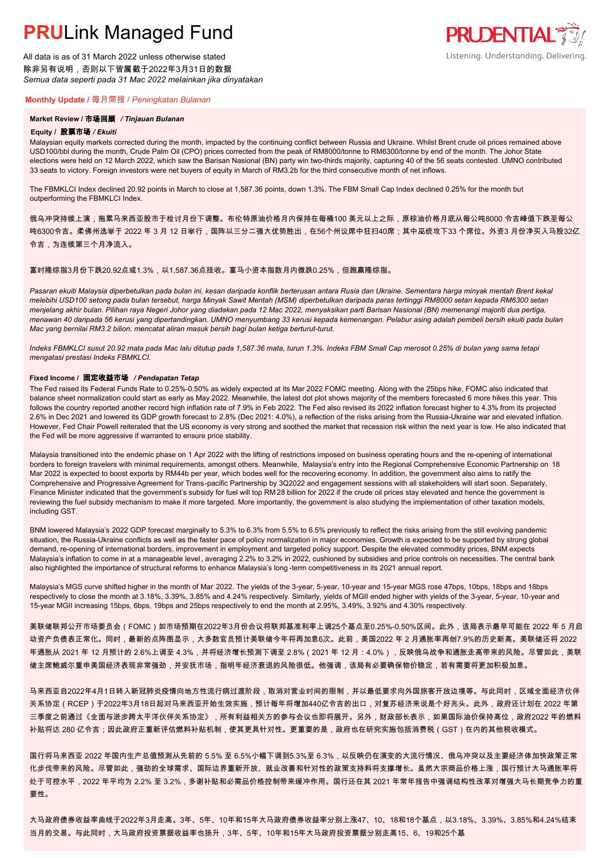All data is as of 31 March 2022 unless otherwise stated 除非另有说明,否则以下皆属截于2022年3月31日的数据 *Semua data seperti pada 31 Mac 2022 melainkan jika dinyatakan*

### **Monthly Update /** 每月简报 / *Peningkatan Bulanan*

#### **Market Review /** 市场回顾 */ Tinjauan Bulanan*

#### **Equity /** 股票市场 */ Ekuiti.*

Malaysian equity markets corrected during the month, impacted by the continuing conflict between Russia and Ukraine. Whilst Brent crude oil prices remained above USD100/bbl during the month, Crude Palm Oil (CPO) prices corrected from the peak of RM8000/tonne to RM6300/tonne by end of the month. The Johor State elections were held on 12 March 2022, which saw the Barisan Nasional (BN) party win two-thirds majority, capturing 40 of the 56 seats contested. UMNO contributed 33 seats to victory. Foreign investors were net buyers of equity in March of RM3.2b for the third consecutive month of net inflows.

The FBMKLCI Index declined 20.92 points in March to close at 1,587.36 points, down 1.3%. The FBM Small Cap Index declined 0.25% for the month but outperforming the FBMKLCI Index.

俄乌冲突持续上演,拖累马来西亚股市于检讨月份下调整。布伦特原油价格月内保持在每桶100 美元以上之际,原棕油价格月底从每公吨8000 令吉峰值下跌至每公 吨6300令吉。柔佛州选举于 2022 年 3 月 12 日举行,国阵以三分二强大优势胜出,在56个州议席中狂扫40席;其中巫统攻下33 个席位。外资3 月份净买入马股32亿 令吉,为连续第三个月净流入。

### 富时隆综指3月份下跌20.92点或1.3%,以1,587.36点挂收。富马小资本指数月内微跌0.25%,但跑赢隆综指。

*Pasaran ekuiti Malaysia diperbetulkan pada bulan ini, kesan daripada konflik berterusan antara Rusia dan Ukraine. Sementara harga minyak mentah Brent kekal melebihi USD100 setong pada bulan tersebut, harga Minyak Sawit Mentah (MSM) diperbetulkan daripada paras tertinggi RM8000 setan kepada RM6300 setan menjelang akhir bulan. Pilihan raya Negeri Johor yang diadakan pada 12 Mac 2022, menyaksikan parti Barisan Nasional (BN) memenangi majoriti dua pertiga, menawan 40 daripada 56 kerusi yang dipertandingkan. UMNO menyumbang 33 kerusi kepada kemenangan. Pelabur asing adalah pembeli bersih ekuiti pada bulan Mac yang bernilai RM3.2 bilion, mencatat aliran masuk bersih bagi bulan ketiga berturut-turut.*

*Indeks FBMKLCI susut 20.92 mata pada Mac lalu ditutup pada 1,587.36 mata, turun 1.3%. Indeks FBM Small Cap merosot 0.25% di bulan yang sama tetapi mengatasi prestasi Indeks FBMKLCI.*

#### **Fixed Income /** 固定收益市场 */ Pendapatan Tetap*

*.* The Fed raised its Federal Funds Rate to 0.25%-0.50% as widely expected at its Mar 2022 FOMC meeting. Along with the 25bps hike, FOMC also indicated that balance sheet normalization could start as early as May 2022. Meanwhile, the latest dot plot shows majority of the members forecasted 6 more hikes this year. This follows the country reported another record high inflation rate of 7.9% in Feb 2022. The Fed also revised its 2022 inflation forecast higher to 4.3% from its projected 2.6% in Dec 2021 and lowered its GDP growth forecast to 2.8% (Dec 2021: 4.0%), a reflection of the risks arising from the Russia-Ukraine war and elevated inflation. However, Fed Chair Powell reiterated that the US economy is very strong and soothed the market that recession risk within the next year is low. He also indicated that the Fed will be more aggressive if warranted to ensure price stability.

Malaysia transitioned into the endemic phase on 1 Apr 2022 with the lifting of restrictions imposed on business operating hours and the re-opening of international borders to foreign travelers with minimal requirements, amongst others. Meanwhile, Malaysia's entry into the Regional Comprehensive Economic Partnership on 18 Mar 2022 is expected to boost exports by RM44b per year, which bodes well for the recovering economy. In addition, the government also aims to ratify the Comprehensive and Progressive Agreement for Trans-pacific Partnership by 3Q2022 and engagement sessions with all stakeholders will start soon. Separately, Finance Minister indicated that the government's subsidy for fuel will top RM 28 billion for 2022 if the crude oil prices stay elevated and hence the government is reviewing the fuel subsidy mechanism to make it more targeted. More importantly, the government is also studying the implementation of other taxation models, including GST.

BNM lowered Malaysia's 2022 GDP forecast marginally to 5.3% to 6.3% from 5.5% to 6.5% previously to reflect the risks arising from the still evolving pandemic situation, the Russia-Ukraine conflicts as well as the faster pace of policy normalization in major economies. Growth is expected to be supported by strong global demand, re-opening of international borders, improvement in employment and targeted policy support. Despite the elevated commodity prices, BNM expects Malaysia's inflation to come in at a manageable level, averaging 2.2% to 3.2% in 2022, cushioned by subsidies and price controls on necessities. The central bank also highlighted the importance of structural reforms to enhance Malaysia's long -term competitiveness in its 2021 annual report.

Malaysia's MGS curve shifted higher in the month of Mar 2022. The yields of the 3-year, 5-year, 10-year and 15-year MGS rose 47bps, 10bps, 18bps and 18bps respectively to close the month at 3.18%, 3.39%, 3.85% and 4.24% respectively. Similarly, yields of MGII ended higher with yields of the 3-year, 5-year, 10-year and 15-year MGII increasing 15bps, 6bps, 19bps and 25bps respectively to end the month at 2.95%, 3.49%, 3.92% and 4.30% respectively.

美联储联邦公开市场委员会(FOMC)如市场预期在2022年3月份会议将联邦基准利率上调25个基点至0.25%-0.50%区间。此外,该局表示最早可能在 2022 年 5 月启 动资产负债表正常化。同时,最新的点阵图显示,大多数官员预计美联储今年将再加息6次。此前,美国2022 年 2 月通胀率再创7.9%的历史新高。美联储还将 2022 年通胀从 2021 年 12 月预计的 2.6%上调至 4.3%,并将经济增长预测下调至 2.8%(2021 年 12 月:4.0%),反映俄乌战争和通胀走高带来的风险。尽管如此,美联 储主席鲍威尔重申美国经济表现非常强劲,并安抚市场,指明年经济衰退的风险很低。他强调,该局有必要确保物价稳定,若有需要将更加积极加息。

马来西亚自2022年4月1日转入新冠肺炎疫情向地方性流行病过渡阶段,取消对营业时间的限制,并以最低要求向外国旅客开放边境等。与此同时,区域全面经济伙伴 关系协定(RCEP)于2022年3月18日起对马来西亚开始生效实施,预计每年将增加440亿令吉的出口,对复苏经济来说是个好兆头。此外,政府还计划在 2022 年第 三季度之前通过《全面与进步跨太平洋伙伴关系协定》,所有利益相关方的参与会议也即将展开。另外,财政部长表示,如果国际油价保持高位,政府2022 年的燃料 补贴将达 280 亿令吉;因此政府正重新评估燃料补贴机制,使其更具针对性。更重要的是,政府也在研究实施包括消费税(GST)在内的其他税收模式。

国行将马来西亚 2022 年国内生产总值预测从先前的 5.5% 至 6.5%小幅下调到5.3%至 6.3%,以反映仍在演变的大流行情况、俄乌冲突以及主要经济体加快政策正常 化步伐带来的风险。尽管如此,强劲的全球需求、国际边界重新开放、就业改善和针对性的政策支持料将支撑增长。虽然大宗商品价格上涨,国行预计大马通胀率将 处于可控水平,2022 年平均为 2.2% 至 3.2%,多谢补贴和必需品价格控制带来缓冲作用。国行还在其 2021 年常年报告中强调结构性改革对增强大马长期竞争力的重 要性。

大马政府债券收益率曲线于2022年3月走高。3年、5年、10年和15年大马政府债券收益率分别上涨47、10、18和18个基点,以3.18%、3.39%、3.85%和4.24%结束 当月的交易。与此同时,大马政府投资票据收益率也扬升,3年、5年、10年和15年大马政府投资票据分别走高15、6、19和25个基

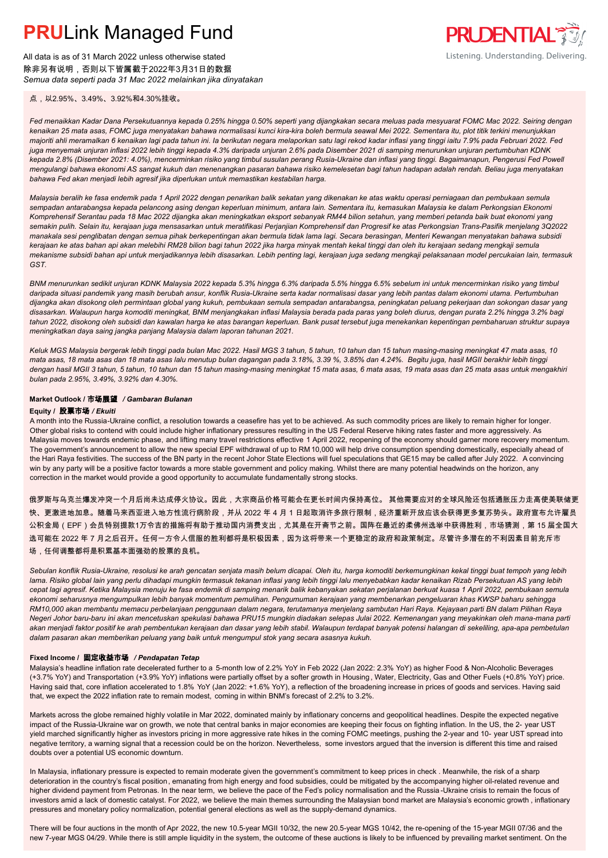All data is as of 31 March 2022 unless otherwise stated 除非另有说明,否则以下皆属截于2022年3月31日的数据 *Semua data seperti pada 31 Mac 2022 melainkan jika dinyatakan*

点,以2.95%、3.49%、3.92%和4.30%挂收。

*Fed menaikkan Kadar Dana Persekutuannya kepada 0.25% hingga 0.50% seperti yang dijangkakan secara meluas pada mesyuarat FOMC Mac 2022. Seiring dengan kenaikan 25 mata asas, FOMC juga menyatakan bahawa normalisasi kunci kira-kira boleh bermula seawal Mei 2022. Sementara itu, plot titik terkini menunjukkan majoriti ahli meramalkan 6 kenaikan lagi pada tahun ini. Ia berikutan negara melaporkan satu lagi rekod kadar inflasi yang tinggi iaitu 7.9% pada Februari 2022. Fed juga menyemak unjuran inflasi 2022 lebih tinggi kepada 4.3% daripada unjuran 2.6% pada Disember 2021 di samping menurunkan unjuran pertumbuhan KDNK kepada 2.8% (Disember 2021: 4.0%), mencerminkan risiko yang timbul susulan perang Rusia-Ukraine dan inflasi yang tinggi. Bagaimanapun, Pengerusi Fed Powell mengulangi bahawa ekonomi AS sangat kukuh dan menenangkan pasaran bahawa risiko kemelesetan bagi tahun hadapan adalah rendah. Beliau juga menyatakan bahawa Fed akan menjadi lebih agresif jika diperlukan untuk memastikan kestabilan harga.*

*Malaysia beralih ke fasa endemik pada 1 April 2022 dengan penarikan balik sekatan yang dikenakan ke atas waktu operasi perniagaan dan pembukaan semula sempadan antarabangsa kepada pelancong asing dengan keperluan minimum, antara lain. Sementara itu, kemasukan Malaysia ke dalam Perkongsian Ekonomi Komprehensif Serantau pada 18 Mac 2022 dijangka akan meningkatkan eksport sebanyak RM44 bilion setahun, yang memberi petanda baik buat ekonomi yang semakin pulih. Selain itu, kerajaan juga mensasarkan untuk meratifikasi Perjanjian Komprehensif dan Progresif ke atas Perkongsian Trans-Pasifik menjelang 3Q2022 manakala sesi penglibatan dengan semua pihak berkepentingan akan bermula tidak lama lagi. Secara berasingan, Menteri Kewangan menyatakan bahawa subsidi kerajaan ke atas bahan api akan melebihi RM28 bilion bagi tahun 2022 jika harga minyak mentah kekal tinggi dan oleh itu kerajaan sedang mengkaji semula mekanisme subsidi bahan api untuk menjadikannya lebih disasarkan. Lebih penting lagi, kerajaan juga sedang mengkaji pelaksanaan model percukaian lain, termasuk GST.*

*BNM menurunkan sedikit unjuran KDNK Malaysia 2022 kepada 5.3% hingga 6.3% daripada 5.5% hingga 6.5% sebelum ini untuk mencerminkan risiko yang timbul daripada situasi pandemik yang masih berubah ansur, konflik Rusia-Ukraine serta kadar normalisasi dasar yang lebih pantas dalam ekonomi utama. Pertumbuhan dijangka akan disokong oleh permintaan global yang kukuh, pembukaan semula sempadan antarabangsa, peningkatan peluang pekerjaan dan sokongan dasar yang disasarkan. Walaupun harga komoditi meningkat, BNM menjangkakan inflasi Malaysia berada pada paras yang boleh diurus, dengan purata 2.2% hingga 3.2% bagi tahun 2022, disokong oleh subsidi dan kawalan harga ke atas barangan keperluan. Bank pusat tersebut juga menekankan kepentingan pembaharuan struktur supaya meningkatkan daya saing jangka panjang Malaysia dalam laporan tahunan 2021.*

*Keluk MGS Malaysia bergerak lebih tinggi pada bulan Mac 2022. Hasil MGS 3 tahun, 5 tahun, 10 tahun dan 15 tahun masing-masing meningkat 47 mata asas, 10 mata asas, 18 mata asas dan 18 mata asas lalu menutup bulan dagangan pada 3.18%, 3.39 %, 3.85% dan 4.24%. Begitu juga, hasil MGII berakhir lebih tinggi dengan hasil MGII 3 tahun, 5 tahun, 10 tahun dan 15 tahun masing-masing meningkat 15 mata asas, 6 mata asas, 19 mata asas dan 25 mata asas untuk mengakhiri bulan pada 2.95%, 3.49%, 3.92% dan 4.30%.*

### **Market Outlook /** 市场展望 */ Gambaran Bulanan*

#### **Equity /** 股票市场 */ Ekuiti .*

A month into the Russia-Ukraine conflict, a resolution towards a ceasefire has yet to be achieved. As such commodity prices are likely to remain higher for longer. Other global risks to contend with could include higher inflationary pressures resulting in the US Federal Reserve hiking rates faster and more aggressively. As Malaysia moves towards endemic phase, and lifting many travel restrictions effective 1 April 2022, reopening of the economy should garner more recovery momentum. The government's announcement to allow the new special EPF withdrawal of up to RM 10,000 will help drive consumption spending domestically, especially ahead of the Hari Raya festivities. The success of the BN party in the recent Johor State Elections will fuel speculations that GE15 may be called after July 2022. A convincing win by any party will be a positive factor towards a more stable government and policy making. Whilst there are many potential headwinds on the horizon, any correction in the market would provide a good opportunity to accumulate fundamentally strong stocks.

俄罗斯与乌克兰爆发冲突一个月后尚未达成停火协议。因此,大宗商品价格可能会在更长时间内保持高位。 其他需要应对的全球风险还包括通胀压力走高使美联储更 快、更激进地加息。随着马来西亚进入地方性流行病阶段,并从 2022 年 4 月 1 日起取消许多旅行限制,经济重新开放应该会获得更多复苏势头。政府宣布允许雇员 公积金局(EPF)会员特别提款1万令吉的措施将有助于推动国内消费支出,尤其是在开斋节之前。国阵在最近的柔佛州选举中获得胜利,市场猜测,第 15 届全国大 选可能在 2022 年 7 月之后召开。任何一方令人信服的胜利都将是积极因素,因为这将带来一个更稳定的政府和政策制定。尽管许多潜在的不利因素目前充斥市 场,任何调整都将是积累基本面强劲的股票的良机。

*Sebulan konflik Rusia-Ukraine, resolusi ke arah gencatan senjata masih belum dicapai. Oleh itu, harga komoditi berkemungkinan kekal tinggi buat tempoh yang lebih lama. Risiko global lain yang perlu dihadapi mungkin termasuk tekanan inflasi yang lebih tinggi lalu menyebabkan kadar kenaikan Rizab Persekutuan AS yang lebih cepat lagi agresif. Ketika Malaysia menuju ke fasa endemik di samping menarik balik kebanyakan sekatan perjalanan berkuat kuasa 1 April 2022, pembukaan semula ekonomi seharusnya mengumpulkan lebih banyak momentum pemulihan. Pengumuman kerajaan yang membenarkan pengeluaran khas KWSP baharu sehingga RM10,000 akan membantu memacu perbelanjaan penggunaan dalam negara, terutamanya menjelang sambutan Hari Raya. Kejayaan parti BN dalam Pilihan Raya Negeri Johor baru-baru ini akan mencetuskan spekulasi bahawa PRU15 mungkin diadakan selepas Julai 2022. Kemenangan yang meyakinkan oleh mana-mana parti akan menjadi faktor positif ke arah pembentukan kerajaan dan dasar yang lebih stabil. Walaupun terdapat banyak potensi halangan di sekeliling, apa-apa pembetulan dalam pasaran akan memberikan peluang yang baik untuk mengumpul stok yang secara asasnya kukuh.*

#### **Fixed Income /** 固定收益市场 */ Pendapatan Tetap*

Malaysia's headline inflation rate decelerated further to a 5-month low of 2.2% YoY in Feb 2022 (Jan 2022: 2.3% YoY) as higher Food & Non-Alcoholic Beverages (+3.7% YoY) and Transportation (+3.9% YoY) inflations were partially offset by a softer growth in Housing , Water, Electricity, Gas and Other Fuels (+0.8% YoY) price. Having said that, core inflation accelerated to 1.8% YoY (Jan 2022: +1.6% YoY), a reflection of the broadening increase in prices of goods and services. Having said that, we expect the 2022 inflation rate to remain modest, coming in within BNM's forecast of 2.2% to 3.2%.

Markets across the globe remained highly volatile in Mar 2022, dominated mainly by inflationary concerns and geopolitical headlines. Despite the expected negative impact of the Russia-Ukraine war on growth, we note that central banks in major economies are keeping their focus on fighting inflation. In the US, the 2- year UST yield marched significantly higher as investors pricing in more aggressive rate hikes in the coming FOMC meetings, pushing the 2-year and 10- year UST spread into negative territory, a warning signal that a recession could be on the horizon. Nevertheless, some investors argued that the inversion is different this time and raised doubts over a potential US economic downturn.

In Malaysia, inflationary pressure is expected to remain moderate given the government's commitment to keep prices in check . Meanwhile, the risk of a sharp deterioration in the country's fiscal position, emanating from high energy and food subsidies, could be mitigated by the accompanying higher oil-related revenue and higher dividend payment from Petronas. In the near term, we believe the pace of the Fed's policy normalisation and the Russia -Ukraine crisis to remain the focus of investors amid a lack of domestic catalyst. For 2022, we believe the main themes surrounding the Malaysian bond market are Malaysia's economic growth, inflationary pressures and monetary policy normalization, potential general elections as well as the supply-demand dynamics.

There will be four auctions in the month of Apr 2022, the new 10.5-year MGII 10/32, the new 20.5-year MGS 10/42, the re-opening of the 15-year MGII 07/36 and the new 7-year MGS 04/29. While there is still ample liquidity in the system, the outcome of these auctions is likely to be influenced by prevailing market sentiment. On the



Listening. Understanding. Delivering.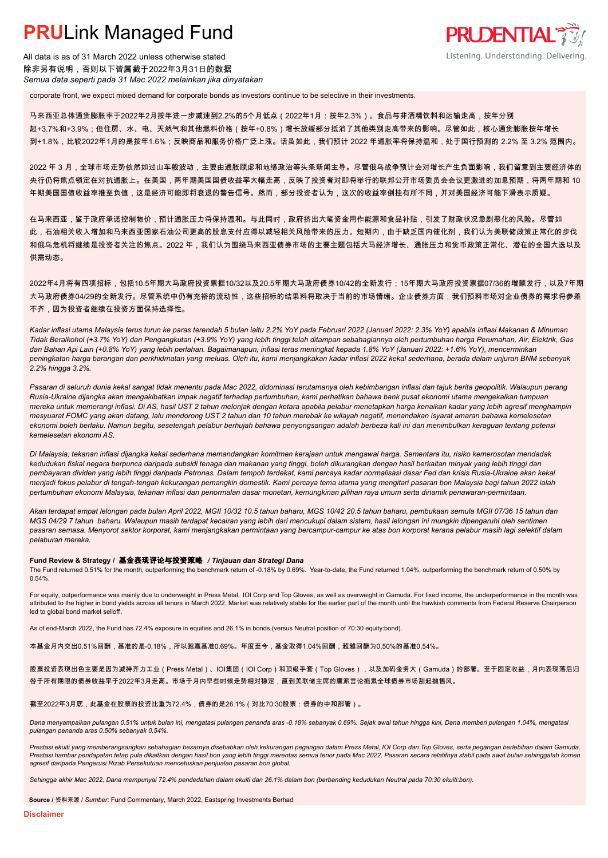All data is as of 31 March 2022 unless otherwise stated 除非另有说明,否则以下皆属截于2022年3月31日的数据 *Semua data seperti pada 31 Mac 2022 melainkan jika dinyatakan*

corporate front, we expect mixed demand for corporate bonds as investors continue to be selective in their investments.

马来西亚总体通货膨胀率于2022年2月按年进一步减速到2.2%的5个月低点(2022年1月:按年2.3%)。食品与非酒精饮料和运输走高,按年分别 起+3.7%和+3.9%;但住房、水、电、天然气和其他燃料价格(按年+0.8%)增长放缓部分抵消了其他类别走高带来的影响。尽管如此,核心通货膨胀按年增长 到+1.8%,比较2022年1月的是按年1.6%;反映商品和服务价格广泛上涨。话虽如此,我们预计 2022 年通胀率将保持温和,处于国行预测的 2.2% 至 3.2% 范围内。

**PRUDENTIAL** 

Listening. Understanding. Delivering.

2022 年 3 月,全球市场走势依然如过山车般波动,主要由通胀顾虑和地缘政治等头条新闻主导。尽管俄乌战争预计会对增长产生负面影响,我们留意到主要经济体的 央行仍将焦点锁定在对抗通胀上。在美国,两年期美国国债收益率大幅走高,反映了投资者对即将举行的联邦公开市场委员会会议更激进的加息预期,将两年期和 10 年期美国国债收益率推至负值,这是经济可能即将衰退的警告信号。然而,部分投资者认为,这次的收益率倒挂有所不同,并对美国经济可能下滑表示质疑。

在马来西亚,鉴于政府承诺控制物价,预计通胀压力将保持温和。与此同时,政府挤出大笔资金用作能源和食品补贴,引发了财政状况急剧恶化的风险。尽管如 此,石油相关收入增加和马来西亚国家石油公司更高的股息支付应得以减轻相关风险带来的压力。短期内,由于缺乏国内催化剂,我们认为美联储政策正常化的步伐 和俄乌危机将继续是投资者关注的焦点。2022 年,我们认为围绕马来西亚债券市场的主要主题包括大马经济增长、通胀压力和货币政策正常化、潜在的全国大选以及 供需动态。

2022年4月将有四项招标,包括10.5年期大马政府投资票据10/32以及20.5年期大马政府债券10/42的全新发行;15年期大马政府投资票据07/36的增额发行,以及7年期 大马政府债券04/29的全新发行。尽管系统中仍有充裕的流动性,这些招标的结果料将取决于当前的市场情绪。企业债券方面,我们预料市场对企业债券的需求将参差 不齐,因为投资者继续在投资方面保持选择性。

*Kadar inflasi utama Malaysia terus turun ke paras terendah 5 bulan iaitu 2.2% YoY pada Februari 2022 (Januari 2022: 2.3% YoY) apabila inflasi Makanan & Minuman Tidak Beralkohol (+3.7% YoY) dan Pengangkutan (+3.9% YoY) yang lebih tinggi telah ditampan sebahagiannya oleh pertumbuhan harga Perumahan, Air, Elektrik, Gas dan Bahan Api Lain (+0.8% YoY) yang lebih perlahan. Bagaimanapun, inflasi teras meningkat kepada 1.8% YoY (Januari 2022: +1.6% YoY), mencerminkan peningkatan harga barangan dan perkhidmatan yang meluas. Oleh itu, kami menjangkakan kadar inflasi 2022 kekal sederhana, berada dalam unjuran BNM sebanyak 2.2% hingga 3.2%.*

*Pasaran di seluruh dunia kekal sangat tidak menentu pada Mac 2022, didominasi terutamanya oleh kebimbangan inflasi dan tajuk berita geopolitik. Walaupun perang Rusia-Ukraine dijangka akan mengakibatkan impak negatif terhadap pertumbuhan, kami perhatikan bahawa bank pusat ekonomi utama mengekalkan tumpuan mereka untuk memerangi inflasi. Di AS, hasil UST 2 tahun melonjak dengan ketara apabila pelabur menetapkan harga kenaikan kadar yang lebih agresif menghampiri mesyuarat FOMC yang akan datang, lalu mendorong UST 2 tahun dan 10 tahun merebak ke wilayah negatif, menandakan isyarat amaran bahawa kemelesetan ekonomi boleh berlaku. Namun begitu, sesetengah pelabur berhujah bahawa penyongsangan adalah berbeza kali ini dan menimbulkan keraguan tentang potensi kemelesetan ekonomi AS.*

*Di Malaysia, tekanan inflasi dijangka kekal sederhana memandangkan komitmen kerajaan untuk mengawal harga. Sementara itu, risiko kemerosotan mendadak kedudukan fiskal negara berpunca daripada subsidi tenaga dan makanan yang tinggi, boleh dikurangkan dengan hasil berkaitan minyak yang lebih tinggi dan pembayaran dividen yang lebih tinggi daripada Petronas. Dalam tempoh terdekat, kami percaya kadar normalisasi dasar Fed dan krisis Rusia-Ukraine akan kekal menjadi fokus pelabur di tengah-tengah kekurangan pemangkin domestik. Kami percaya tema utama yang mengitari pasaran bon Malaysia bagi tahun 2022 ialah pertumbuhan ekonomi Malaysia, tekanan inflasi dan penormalan dasar monetari, kemungkinan pilihan raya umum serta dinamik penawaran-permintaan.*

*Akan terdapat empat lelongan pada bulan April 2022, MGII 10/32 10.5 tahun baharu, MGS 10/42 20.5 tahun baharu, pembukaan semula MGII 07/36 15 tahun dan MGS 04/29 7 tahun baharu. Walaupun masih terdapat kecairan yang lebih dari mencukupi dalam sistem, hasil lelongan ini mungkin dipengaruhi oleh sentimen pasaran semasa. Menyorot sektor korporat, kami menjangkakan permintaan yang bercampur-campur ke atas bon korporat kerana pelabur masih lagi selektif dalam pelaburan mereka.*

#### **Fund Review & Strategy /** 基金表现评论与投资策略 */ Tinjauan dan Strategi Dana*

The Fund returned 0.51% for the month, outperforming the benchmark return of -0.18% by 0.69%. Year-to-date, the Fund returned 1.04%, outperforming the benchmark return of 0.50% by 0.54%.

For equity, outperformance was mainly due to underweight in Press Metal, IOI Corp and Top Gloves, as well as overweight in Gamuda. For fixed income, the underperformance in the month was attributed to the higher in bond yields across all tenors in March 2022. Market was relatively stable for the earlier part of the month until the hawkish comments from Federal Reserve Chairperson led to global bond market selloff.

As of end-March 2022, the Fund has 72.4% exposure in equities and 26.1% in bonds (versus Neutral position of 70:30 equity:bond).

本基金月内交出0.51%回酬,基准的是-0.18%,所以跑赢基准0.69%。年度至今,基金取得1.04%回酬,超越回酬为0.50%的基准0.54%。

股票投资表现出色主要是因为减持齐力工业(Press Metal)、IOI集团(IOI Corp)和顶级手套(Top Gloves),以及加码金务大(Gamuda)的部署。至于固定收益,月内表现落后归 咎于所有期限的债券收益率于2022年3月走高。市场于月内早些时候走势相对稳定,直到美联储主席的鹰派言论拖累全球债券市场刮起抛售风。

#### 截至2022年3月底,此基金在股票的投资比重为72.4%,债券的是26.1%(对比70:30股票:债券的中和部署)。

*Dana menyampaikan pulangan 0.51% untuk bulan ini, mengatasi pulangan penanda aras -0.18% sebanyak 0.69%. Sejak awal tahun hingga kini, Dana memberi pulangan 1.04%, mengatasi pulangan penanda aras 0.50% sebanyak 0.54%.*

*Prestasi ekuiti yang memberangsangkan sebahagian besarnya disebabkan oleh kekurangan pegangan dalam Press Metal, IOI Corp dan Top Gloves, serta pegangan berlebihan dalam Gamuda.*  Prestasi hambar pendapatan tetap pula dikaitkan dengan hasil bon yang lebih tinggi merentas semua tenor pada Mac 2022. Pasaran secara relatifnya stabil pada awal bulan sehinggalah komen *agresif daripada Pengerusi Rizab Persekutuan mencetuskan penjualan pasaran bon global.*

*Sehingga akhir Mac 2022, Dana mempunyai 72.4% pendedahan dalam ekuiti dan 26.1% dalam bon (berbanding kedudukan Neutral pada 70:30 ekuiti:bon).*

**Source /** 资料来源 / *Sumber*: Fund Commentary, March 2022, Eastspring Investments Berhad